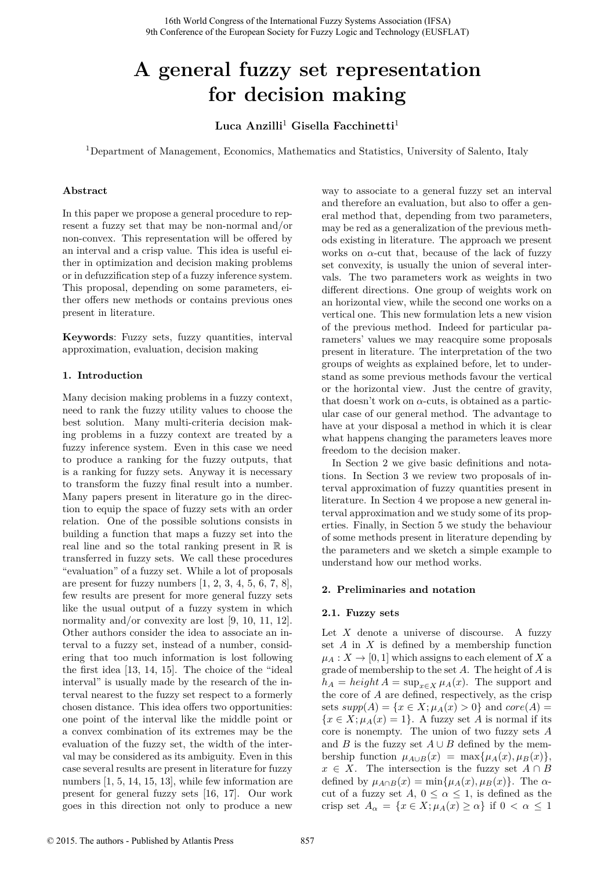# **A general fuzzy set representation for decision making**

**Luca Anzilli**<sup>1</sup> **Gisella Facchinetti**<sup>1</sup>

<sup>1</sup>Department of Management, Economics, Mathematics and Statistics, University of Salento, Italy

# **Abstract**

In this paper we propose a general procedure to represent a fuzzy set that may be non-normal and/or non-convex. This representation will be offered by an interval and a crisp value. This idea is useful either in optimization and decision making problems or in defuzzification step of a fuzzy inference system. This proposal, depending on some parameters, either offers new methods or contains previous ones present in literature.

**Keywords**: Fuzzy sets, fuzzy quantities, interval approximation, evaluation, decision making

# **1. Introduction**

Many decision making problems in a fuzzy context, need to rank the fuzzy utility values to choose the best solution. Many multi-criteria decision making problems in a fuzzy context are treated by a fuzzy inference system. Even in this case we need to produce a ranking for the fuzzy outputs, that is a ranking for fuzzy sets. Anyway it is necessary to transform the fuzzy final result into a number. Many papers present in literature go in the direction to equip the space of fuzzy sets with an order relation. One of the possible solutions consists in building a function that maps a fuzzy set into the real line and so the total ranking present in  $\mathbb R$  is transferred in fuzzy sets. We call these procedures "evaluation" of a fuzzy set. While a lot of proposals are present for fuzzy numbers  $[1, 2, 3, 4, 5, 6, 7, 8]$ , few results are present for more general fuzzy sets like the usual output of a fuzzy system in which normality and/or convexity are lost [9, 10, 11, 12]. Other authors consider the idea to associate an interval to a fuzzy set, instead of a number, considering that too much information is lost following the first idea [13, 14, 15]. The choice of the "ideal interval" is usually made by the research of the interval nearest to the fuzzy set respect to a formerly chosen distance. This idea offers two opportunities: one point of the interval like the middle point or a convex combination of its extremes may be the evaluation of the fuzzy set, the width of the interval may be considered as its ambiguity. Even in this case several results are present in literature for fuzzy numbers [1, 5, 14, 15, 13], while few information are present for general fuzzy sets [16, 17]. Our work goes in this direction not only to produce a new

way to associate to a general fuzzy set an interval and therefore an evaluation, but also to offer a general method that, depending from two parameters, may be red as a generalization of the previous methods existing in literature. The approach we present works on  $\alpha$ -cut that, because of the lack of fuzzy set convexity, is usually the union of several intervals. The two parameters work as weights in two different directions. One group of weights work on an horizontal view, while the second one works on a vertical one. This new formulation lets a new vision of the previous method. Indeed for particular parameters' values we may reacquire some proposals present in literature. The interpretation of the two groups of weights as explained before, let to understand as some previous methods favour the vertical or the horizontal view. Just the centre of gravity, that doesn't work on  $\alpha$ -cuts, is obtained as a particular case of our general method. The advantage to have at your disposal a method in which it is clear what happens changing the parameters leaves more freedom to the decision maker.

In Section 2 we give basic definitions and notations. In Section 3 we review two proposals of interval approximation of fuzzy quantities present in literature. In Section 4 we propose a new general interval approximation and we study some of its properties. Finally, in Section 5 we study the behaviour of some methods present in literature depending by the parameters and we sketch a simple example to understand how our method works.

# **2. Preliminaries and notation**

# **2.1. Fuzzy sets**

Let *X* denote a universe of discourse. A fuzzy set *A* in *X* is defined by a membership function  $\mu_A: X \to [0, 1]$  which assigns to each element of *X* a grade of membership to the set *A*. The height of *A* is  $h_A = height A = \sup_{x \in X} \mu_A(x)$ . The support and the core of *A* are defined, respectively, as the crisp sets  $supp(A) = \{x \in X; \mu_A(x) > 0\}$  and  $core(A) =$  ${x \in X; \mu_A(x) = 1}.$  A fuzzy set *A* is normal if its core is nonempty. The union of two fuzzy sets *A* and *B* is the fuzzy set  $A \cup B$  defined by the membership function  $\mu_{A\cup B}(x) = \max{\mu_A(x), \mu_B(x)},$  $x \in X$ . The intersection is the fuzzy set  $A \cap B$ defined by  $\mu_{A \cap B}(x) = \min{\mu_A(x), \mu_B(x)}$ . The  $\alpha$ cut of a fuzzy set  $A, 0 \le \alpha \le 1$ , is defined as the crisp set  $A_{\alpha} = \{x \in X; \mu_A(x) \geq \alpha\}$  if  $0 < \alpha \leq 1$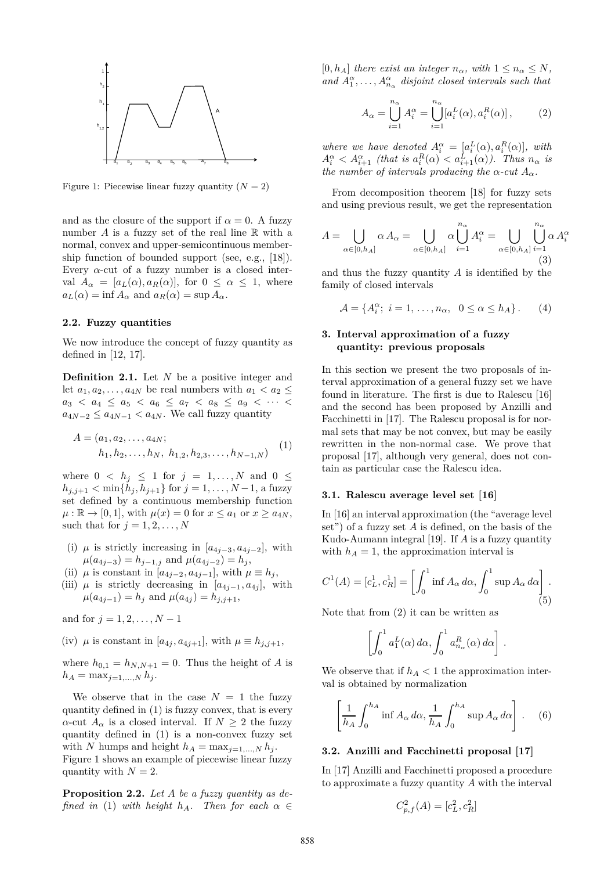

Figure 1: Piecewise linear fuzzy quantity  $(N = 2)$ 

and as the closure of the support if  $\alpha = 0$ . A fuzzy number *A* is a fuzzy set of the real line R with a normal, convex and upper-semicontinuous membership function of bounded support (see, e.g., [18]). Every  $\alpha$ -cut of a fuzzy number is a closed interval  $A_{\alpha} = [a_L(\alpha), a_R(\alpha)]$ , for  $0 \leq \alpha \leq 1$ , where  $a_L(\alpha) = \inf A_\alpha$  and  $a_R(\alpha) = \sup A_\alpha$ .

## **2.2. Fuzzy quantities**

We now introduce the concept of fuzzy quantity as defined in [12, 17].

**Definition 2.1.** Let *N* be a positive integer and let  $a_1, a_2, \ldots, a_{4N}$  be real numbers with  $a_1 < a_2 \leq$  $a_3 < a_4 \le a_5 < a_6 \le a_7 < a_8 \le a_9 < \cdots <$  $a_{4N-2} \le a_{4N-1} < a_{4N}$ . We call fuzzy quantity

$$
A = (a_1, a_2, \dots, a_{4N};
$$
  
\n
$$
h_1, h_2, \dots, h_N, h_{1,2}, h_{2,3}, \dots, h_{N-1,N})
$$
 (1)

where  $0 \le h_j \le 1$  for  $j = 1, ..., N$  and  $0 \le$  $h_{j,j+1} < \min\{h_j, h_{j+1}\}$  for  $j = 1, ..., N-1$ , a fuzzy set defined by a continuous membership function  $\mu : \mathbb{R} \to [0, 1]$ , with  $\mu(x) = 0$  for  $x \le a_1$  or  $x \ge a_{4N}$ , such that for  $j = 1, 2, \ldots, N$ 

- (i)  $\mu$  is strictly increasing in [ $a_{4j-3}, a_{4j-2}$ ], with  $\mu(a_{4j-3}) = h_{j-1,j}$  and  $\mu(a_{4j-2}) = h_j$
- (ii)  $\mu$  is constant in [ $a_{4j-2}, a_{4j-1}$ ], with  $\mu \equiv h_j$ ,
- (iii)  $\mu$  is strictly decreasing in  $[a_{4i-1}, a_{4i}]$ , with  $\mu(a_{4j-1}) = h_j$  and  $\mu(a_{4j}) = h_{j,j+1}$ ,

and for  $j = 1, 2, ..., N - 1$ 

(iv)  $\mu$  is constant in [ $a_{4j}, a_{4j+1}$ ], with  $\mu \equiv h_{j,j+1}$ ,

where  $h_{0,1} = h_{N,N+1} = 0$ . Thus the height of *A* is  $h_A = \max_{j=1,...,N} h_j$ .

We observe that in the case  $N = 1$  the fuzzy quantity defined in (1) is fuzzy convex, that is every *α*-cut  $A_{\alpha}$  is a closed interval. If  $N > 2$  the fuzzy quantity defined in (1) is a non-convex fuzzy set with *N* humps and height  $h_A = \max_{i=1,...,N} h_i$ . Figure 1 shows an example of piecewise linear fuzzy quantity with  $N=2$ .

**Proposition 2.2.** *Let A be a fuzzy quantity as defined in* (1) *with height*  $h_A$ *. Then for each*  $\alpha \in$ 

 $[0, h_A]$  *there exist an integer*  $n_\alpha$ *, with*  $1 \leq n_\alpha \leq N$ *,* and  $A_1^{\alpha}, \ldots, A_{n_{\alpha}}^{\alpha}$  disjoint closed intervals such that

$$
A_{\alpha} = \bigcup_{i=1}^{n_{\alpha}} A_i^{\alpha} = \bigcup_{i=1}^{n_{\alpha}} [a_i^L(\alpha), a_i^R(\alpha)], \qquad (2)
$$

*where we have denoted*  $A_i^{\alpha} = [a_i^L(\alpha), a_i^R(\alpha)]$ *, with*  $A_i^{\alpha} < A_{i+1}^{\alpha}$  (that is  $a_i^R(\alpha) < a_{i+1}^L(\alpha)$ ). Thus  $n_{\alpha}$  is *the number of intervals producing the*  $\alpha$ -*cut*  $A_{\alpha}$ *.* 

From decomposition theorem [18] for fuzzy sets and using previous result, we get the representation

$$
A = \bigcup_{\alpha \in [0, h_A]} \alpha A_{\alpha} = \bigcup_{\alpha \in [0, h_A]} \alpha \bigcup_{i=1}^{n_{\alpha}} A_i^{\alpha} = \bigcup_{\alpha \in [0, h_A]} \bigcup_{i=1}^{n_{\alpha}} \alpha A_i^{\alpha}
$$
(3)

and thus the fuzzy quantity *A* is identified by the family of closed intervals

$$
\mathcal{A} = \{A_i^{\alpha}; i = 1, \dots, n_{\alpha}, 0 \le \alpha \le h_A\}.
$$
 (4)

# **3. Interval approximation of a fuzzy quantity: previous proposals**

In this section we present the two proposals of interval approximation of a general fuzzy set we have found in literature. The first is due to Ralescu [16] and the second has been proposed by Anzilli and Facchinetti in [17]. The Ralescu proposal is for normal sets that may be not convex, but may be easily rewritten in the non-normal case. We prove that proposal [17], although very general, does not contain as particular case the Ralescu idea.

## **3.1. Ralescu average level set [16]**

In [16] an interval approximation (the "average level set") of a fuzzy set *A* is defined, on the basis of the Kudo-Aumann integral [19]. If *A* is a fuzzy quantity with  $h_A = 1$ , the approximation interval is

$$
C^{1}(A) = [c_L^1, c_R^1] = \left[\int_0^1 \inf A_{\alpha} \, d\alpha, \int_0^1 \sup A_{\alpha} \, d\alpha\right].
$$
\n(5)

Note that from (2) it can be written as

$$
\left[\int_0^1 a_1^L(\alpha) \, d\alpha, \int_0^1 a_{n_\alpha}^R(\alpha) \, d\alpha\right].
$$

We observe that if  $h_A < 1$  the approximation interval is obtained by normalization

$$
\left[\frac{1}{h_A} \int_0^{h_A} \inf A_\alpha \, d\alpha, \frac{1}{h_A} \int_0^{h_A} \sup A_\alpha \, d\alpha\right]. \tag{6}
$$

#### **3.2. Anzilli and Facchinetti proposal [17]**

In [17] Anzilli and Facchinetti proposed a procedure to approximate a fuzzy quantity *A* with the interval

$$
C_{p,f}^2(A) = [c_L^2, c_R^2]
$$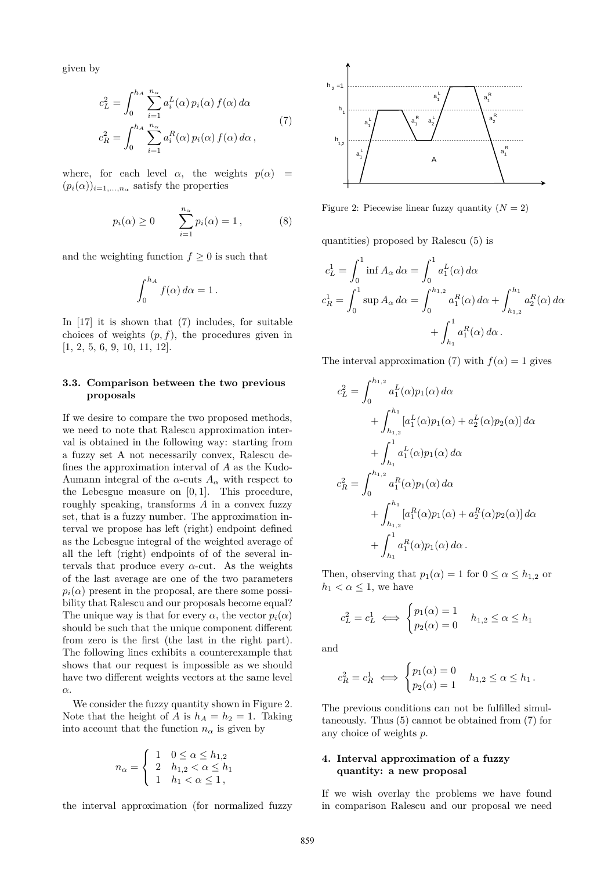given by

$$
c_L^2 = \int_0^{h_A} \sum_{i=1}^{n_\alpha} a_i^L(\alpha) p_i(\alpha) f(\alpha) d\alpha
$$
  

$$
c_R^2 = \int_0^{h_A} \sum_{i=1}^{n_\alpha} a_i^R(\alpha) p_i(\alpha) f(\alpha) d\alpha,
$$
 (7)

where, for each level  $\alpha$ , the weights  $p(\alpha)$  =  $(p_i(\alpha))_{i=1,\ldots,n_\alpha}$  satisfy the properties

$$
p_i(\alpha) \ge 0 \qquad \sum_{i=1}^{n_{\alpha}} p_i(\alpha) = 1, \qquad (8)
$$

and the weighting function  $f \geq 0$  is such that

$$
\int_0^{h_A} f(\alpha) \, d\alpha = 1 \, .
$$

In [17] it is shown that (7) includes, for suitable choices of weights  $(p, f)$ , the procedures given in [1, 2, 5, 6, 9, 10, 11, 12].

## **3.3. Comparison between the two previous proposals**

If we desire to compare the two proposed methods, we need to note that Ralescu approximation interval is obtained in the following way: starting from a fuzzy set A not necessarily convex, Ralescu defines the approximation interval of *A* as the Kudo-Aumann integral of the  $\alpha$ -cuts  $A_{\alpha}$  with respect to the Lebesgue measure on [0*,* 1]. This procedure, roughly speaking, transforms *A* in a convex fuzzy set, that is a fuzzy number. The approximation interval we propose has left (right) endpoint defined as the Lebesgue integral of the weighted average of all the left (right) endpoints of of the several intervals that produce every  $\alpha$ -cut. As the weights of the last average are one of the two parameters  $p_i(\alpha)$  present in the proposal, are there some possibility that Ralescu and our proposals become equal? The unique way is that for every  $\alpha$ , the vector  $p_i(\alpha)$ should be such that the unique component different from zero is the first (the last in the right part). The following lines exhibits a counterexample that shows that our request is impossible as we should have two different weights vectors at the same level *α*.

We consider the fuzzy quantity shown in Figure 2. Note that the height of *A* is  $h_A = h_2 = 1$ . Taking into account that the function  $n_{\alpha}$  is given by

$$
n_{\alpha} = \begin{cases} 1 & 0 \le \alpha \le h_{1,2} \\ 2 & h_{1,2} < \alpha \le h_1 \\ 1 & h_1 < \alpha \le 1, \end{cases}
$$

the interval approximation (for normalized fuzzy



Figure 2: Piecewise linear fuzzy quantity  $(N = 2)$ 

quantities) proposed by Ralescu (5) is

$$
c_L^1 = \int_0^1 \inf A_\alpha \, d\alpha = \int_0^1 a_1^L(\alpha) \, d\alpha
$$
  

$$
c_R^1 = \int_0^1 \sup A_\alpha \, d\alpha = \int_0^{h_{1,2}} a_1^R(\alpha) \, d\alpha + \int_{h_{1,2}}^{h_1} a_2^R(\alpha) \, d\alpha
$$
  

$$
+ \int_{h_1}^1 a_1^R(\alpha) \, d\alpha.
$$

The interval approximation (7) with  $f(\alpha) = 1$  gives

$$
c_L^2 = \int_0^{h_{1,2}} a_1^L(\alpha) p_1(\alpha) d\alpha + \int_{h_{1,2}}^{h_1} [a_1^L(\alpha) p_1(\alpha) + a_2^L(\alpha) p_2(\alpha)] d\alpha + \int_{h_1}^1 a_1^L(\alpha) p_1(\alpha) d\alpha c_R^2 = \int_0^{h_{1,2}} a_1^R(\alpha) p_1(\alpha) d\alpha + \int_{h_{1,2}}^{h_1} [a_1^R(\alpha) p_1(\alpha) + a_2^R(\alpha) p_2(\alpha)] d\alpha + \int_{h_1}^1 a_1^R(\alpha) p_1(\alpha) d\alpha.
$$

Then, observing that  $p_1(\alpha) = 1$  for  $0 \leq \alpha \leq h_{1,2}$  or  $h_1 < \alpha \leq 1$ , we have

$$
c_L^2 = c_L^1 \iff \begin{cases} p_1(\alpha) = 1\\ p_2(\alpha) = 0 \end{cases} \quad h_{1,2} \le \alpha \le h_1
$$

and

$$
c_R^2 = c_R^1 \iff \begin{cases} p_1(\alpha) = 0 & h_{1,2} \le \alpha \le h_1 \\ p_2(\alpha) = 1 & \end{cases}
$$

The previous conditions can not be fulfilled simultaneously. Thus (5) cannot be obtained from (7) for any choice of weights *p*.

### **4. Interval approximation of a fuzzy quantity: a new proposal**

If we wish overlay the problems we have found in comparison Ralescu and our proposal we need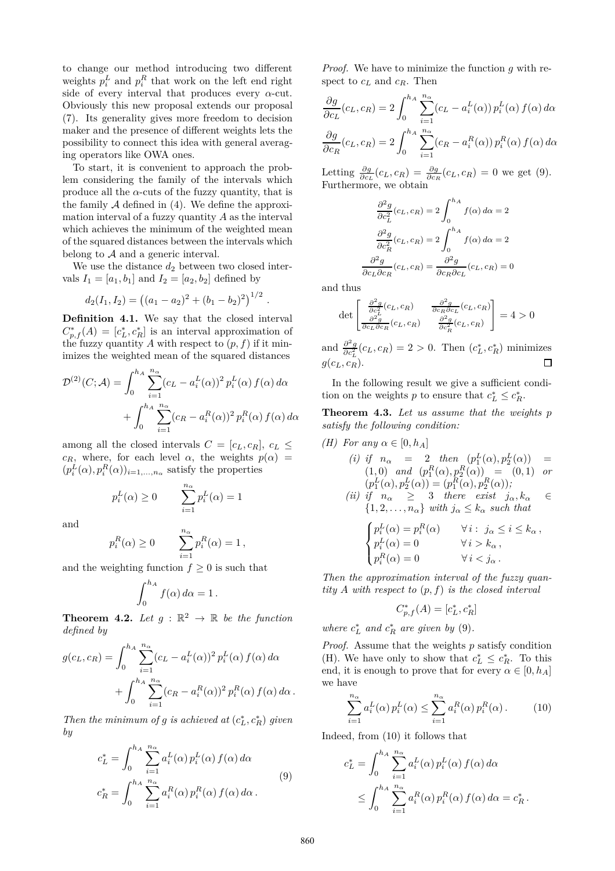to change our method introducing two different weights  $p_i^L$  and  $p_i^R$  that work on the left end right side of every interval that produces every  $\alpha$ -cut. Obviously this new proposal extends our proposal (7). Its generality gives more freedom to decision maker and the presence of different weights lets the possibility to connect this idea with general averaging operators like OWA ones.

To start, it is convenient to approach the problem considering the family of the intervals which produce all the  $\alpha$ -cuts of the fuzzy quantity, that is the family  $A$  defined in  $(4)$ . We define the approximation interval of a fuzzy quantity *A* as the interval which achieves the minimum of the weighted mean of the squared distances between the intervals which belong to  $A$  and a generic interval.

We use the distance  $d_2$  between two closed intervals  $I_1 = [a_1, b_1]$  and  $I_2 = [a_2, b_2]$  defined by

$$
d_2(I_1, I_2) = ((a_1 - a_2)^2 + (b_1 - b_2)^2)^{1/2}
$$

**Definition 4.1.** We say that the closed interval  $C_{p,f}^*(A) = [c_L^*, c_R^*]$  is an interval approximation of the fuzzy quantity *A* with respect to  $(p, f)$  if it minimizes the weighted mean of the squared distances

$$
\mathcal{D}^{(2)}(C; \mathcal{A}) = \int_0^{h_A} \sum_{i=1}^{n_{\alpha}} (c_L - a_i^L(\alpha))^2 p_i^L(\alpha) f(\alpha) d\alpha
$$

$$
+ \int_0^{h_A} \sum_{i=1}^{n_{\alpha}} (c_R - a_i^R(\alpha))^2 p_i^R(\alpha) f(\alpha) d\alpha
$$

among all the closed intervals  $C = [c_L, c_R], c_L \leq$ *c<sub>R</sub>*, where, for each level  $\alpha$ , the weights  $p(\alpha)$  =  $(p_i^L(\alpha), p_i^R(\alpha))_{i=1,\dots,n_\alpha}$  satisfy the properties

$$
p_i^L(\alpha) \ge 0 \qquad \sum_{i=1}^{n_\alpha} p_i^L(\alpha) = 1
$$

and

$$
p_i^R(\alpha) \ge 0 \qquad \sum_{i=1}^{n_\alpha} p_i^R(\alpha) = 1,
$$

and the weighting function  $f \geq 0$  is such that

$$
\int_0^{h_A} f(\alpha) \, d\alpha = 1 \, .
$$

**Theorem 4.2.** Let  $g : \mathbb{R}^2 \to \mathbb{R}$  be the function *defined by*

$$
g(c_L, c_R) = \int_0^{h_A} \sum_{i=1}^{n_{\alpha}} (c_L - a_i^L(\alpha))^2 p_i^L(\alpha) f(\alpha) d\alpha + \int_0^{h_A} \sum_{i=1}^{n_{\alpha}} (c_R - a_i^R(\alpha))^2 p_i^R(\alpha) f(\alpha) d\alpha.
$$

*Then the minimum of g is achieved at*  $(c_L^*, c_R^*)$  *given by*

$$
c_L^* = \int_0^{h_A} \sum_{i=1}^{n_\alpha} a_i^L(\alpha) p_i^L(\alpha) f(\alpha) d\alpha
$$
  

$$
c_R^* = \int_0^{h_A} \sum_{i=1}^{n_\alpha} a_i^R(\alpha) p_i^R(\alpha) f(\alpha) d\alpha.
$$
 (9)

*Proof.* We have to minimize the function *g* with respect to *c<sup>L</sup>* and *cR*. Then

$$
\frac{\partial g}{\partial c_L}(c_L, c_R) = 2 \int_0^{h_A} \sum_{i=1}^{n_\alpha} (c_L - a_i^L(\alpha)) p_i^L(\alpha) f(\alpha) d\alpha
$$

$$
\frac{\partial g}{\partial c_R}(c_L, c_R) = 2 \int_0^{h_A} \sum_{i=1}^{n_\alpha} (c_R - a_i^R(\alpha)) p_i^R(\alpha) f(\alpha) d\alpha
$$

Letting  $\frac{\partial g}{\partial c_L}(c_L, c_R) = \frac{\partial g}{\partial c_R}(c_L, c_R) = 0$  we get (9). Furthermore, we obtain

$$
\frac{\partial^2 g}{\partial c_L^2}(c_L, c_R) = 2 \int_0^{h_A} f(\alpha) d\alpha = 2
$$

$$
\frac{\partial^2 g}{\partial c_R^2}(c_L, c_R) = 2 \int_0^{h_A} f(\alpha) d\alpha = 2
$$

$$
\frac{\partial^2 g}{\partial c_L \partial c_R}(c_L, c_R) = \frac{\partial^2 g}{\partial c_R \partial c_L}(c_L, c_R) = 0
$$

and thus

*.*

$$
\det \begin{bmatrix} \frac{\partial^2 g}{\partial c_L^2}(c_L, c_R) & \frac{\partial^2 g}{\partial c_R \partial c_L}(c_L, c_R) \\ \frac{\partial^2 g}{\partial c_L \partial c_R}(c_L, c_R) & \frac{\partial^2 g}{\partial c_R^2}(c_L, c_R) \end{bmatrix} = 4 > 0
$$

and  $\frac{\partial^2 g}{\partial c_L^2}(c_L, c_R) = 2 > 0$ . Then  $(c_L^*, c_R^*)$  minimizes  $q(c_L, c_R)$ .  $\Box$ 

In the following result we give a sufficient condition on the weights *p* to ensure that  $c_L^* \leq c_R^*$ .

**Theorem 4.3.** *Let us assume that the weights p satisfy the following condition:*

(H) For any 
$$
\alpha \in [0, h_A]
$$
  
\n(i) if  $n_{\alpha} = 2$  then  $(p_1^L(\alpha), p_2^L(\alpha)) =$   
\n(1,0) and  $(p_1^R(\alpha), p_2^R(\alpha)) = (0,1)$  or  
\n $(p_1^L(\alpha), p_2^L(\alpha)) = (p_1^R(\alpha), p_2^R(\alpha));$   
\n(ii) if  $n_{\alpha} \geq 3$  there exist  $j_{\alpha}, k_{\alpha} \in$   
\n $\{1, 2, ..., n_{\alpha}\}$  with  $j_{\alpha} \leq k_{\alpha}$  such that  
\n
$$
\begin{cases}\np_i^L(\alpha) = p_i^R(\alpha) & \forall i : j_{\alpha} \leq i \leq k_{\alpha}, \\
p_i^L(\alpha) = 0 & \forall i > k_{\alpha},\n\end{cases}
$$

*Then the approximation interval of the fuzzy quantity A with respect to* (*p, f*) *is the closed interval*

 $p_i^R(\alpha) = 0$   $\forall i < j_\alpha$ .

$$
C_{p,f}^*(A) = [c_L^*, c_R^*]
$$

*where*  $c_L^*$  *and*  $c_R^*$  *are given by* (9)*.* 

 $\mathbf{I}$ 

*Proof.* Assume that the weights *p* satisfy condition (H). We have only to show that  $c_L^* \leq c_R^*$ . To this end, it is enough to prove that for every  $\alpha \in [0, h_A]$ we have

$$
\sum_{i=1}^{n_{\alpha}} a_i^L(\alpha) p_i^L(\alpha) \le \sum_{i=1}^{n_{\alpha}} a_i^R(\alpha) p_i^R(\alpha).
$$
 (10)

Indeed, from (10) it follows that

$$
c_L^* = \int_0^{h_A} \sum_{i=1}^{n_\alpha} a_i^L(\alpha) p_i^L(\alpha) f(\alpha) d\alpha
$$
  
 
$$
\leq \int_0^{h_A} \sum_{i=1}^{n_\alpha} a_i^R(\alpha) p_i^R(\alpha) f(\alpha) d\alpha = c_R^*.
$$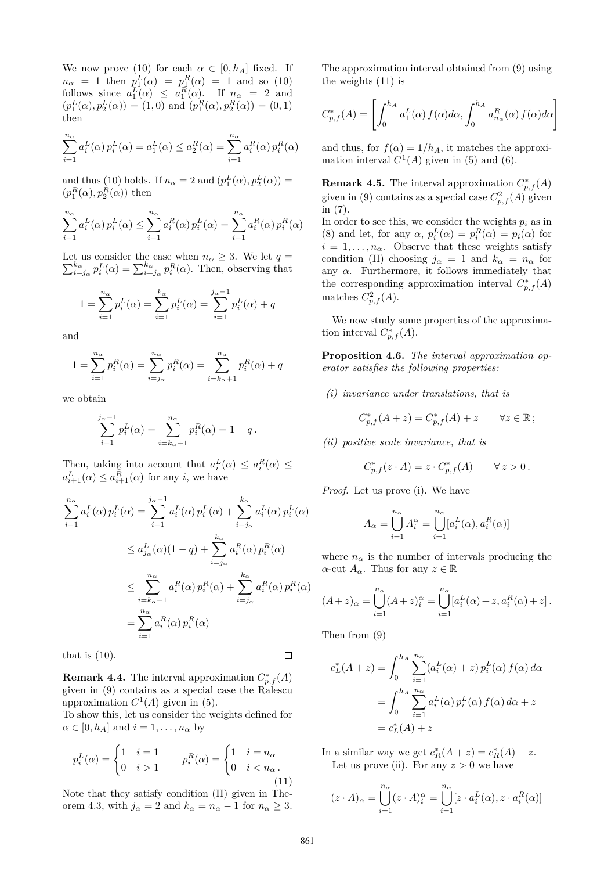We now prove (10) for each  $\alpha \in [0, h_A]$  fixed. If  $n_{\alpha} = 1$  then  $p_1^L(\alpha) = p_1^R(\alpha) = 1$  and so (10) follows since  $a_1^L(\alpha) \leq a_1^R(\alpha)$ . If  $n_\alpha = 2$  and  $(p_1^L(\alpha), p_2^L(\alpha)) = (1, 0)$  and  $(p_1^R(\alpha), p_2^R(\alpha)) = (0, 1)$ then

$$
\sum_{i=1}^{n_{\alpha}} a_i^L(\alpha) p_i^L(\alpha) = a_1^L(\alpha) \le a_2^R(\alpha) = \sum_{i=1}^{n_{\alpha}} a_i^R(\alpha) p_i^R(\alpha)
$$

and thus (10) holds. If  $n_{\alpha} = 2$  and  $(p_1^L(\alpha), p_2^L(\alpha)) =$  $(p_1^R(\alpha), p_2^R(\alpha))$  then

$$
\sum_{i=1}^{n_{\alpha}} a_i^L(\alpha) p_i^L(\alpha) \le \sum_{i=1}^{n_{\alpha}} a_i^R(\alpha) p_i^L(\alpha) = \sum_{i=1}^{n_{\alpha}} a_i^R(\alpha) p_i^R(\alpha)
$$

Let us consider the case when  $\sum$ t us consider the case when  $n_{\alpha} \geq 3$ . We let  $q = k_{\alpha} \choose i = j_{\alpha}} p_i^L(\alpha) = \sum_{i=j_{\alpha}}^{k_{\alpha}} p_i^R(\alpha)$ . Then, observing that

$$
1 = \sum_{i=1}^{n_{\alpha}} p_i^L(\alpha) = \sum_{i=1}^{k_{\alpha}} p_i^L(\alpha) = \sum_{i=1}^{j_{\alpha}-1} p_i^L(\alpha) + q
$$

and

$$
1 = \sum_{i=1}^{n_{\alpha}} p_i^R(\alpha) = \sum_{i=j_{\alpha}}^{n_{\alpha}} p_i^R(\alpha) = \sum_{i=k_{\alpha}+1}^{n_{\alpha}} p_i^R(\alpha) + q_i
$$

we obtain

$$
\sum_{i=1}^{j_{\alpha}-1} p_i^L(\alpha) = \sum_{i=k_{\alpha}+1}^{n_{\alpha}} p_i^R(\alpha) = 1 - q.
$$

Then, taking into account that  $a_i^L(\alpha) \leq a_i^R(\alpha) \leq$  $a_{i+1}^L(\alpha) \le a_{i+1}^R(\alpha)$  for any *i*, we have

$$
\sum_{i=1}^{n_{\alpha}} a_i^L(\alpha) p_i^L(\alpha) = \sum_{i=1}^{j_{\alpha}-1} a_i^L(\alpha) p_i^L(\alpha) + \sum_{i=j_{\alpha}}^{k_{\alpha}} a_i^L(\alpha) p_i^L(\alpha)
$$
  

$$
\leq a_{j_{\alpha}}^L(\alpha)(1-q) + \sum_{i=j_{\alpha}}^{k_{\alpha}} a_i^R(\alpha) p_i^R(\alpha)
$$
  

$$
\leq \sum_{i=k_{\alpha}+1}^{n_{\alpha}} a_i^R(\alpha) p_i^R(\alpha) + \sum_{i=j_{\alpha}}^{k_{\alpha}} a_i^R(\alpha) p_i^R(\alpha)
$$
  

$$
= \sum_{i=1}^{n_{\alpha}} a_i^R(\alpha) p_i^R(\alpha)
$$

that is  $(10)$ .

**Remark 4.4.** The interval approximation  $C_{p,f}^*(A)$ given in (9) contains as a special case the Ralescu approximation  $C^1(A)$  given in (5).

To show this, let us consider the weights defined for  $\alpha \in [0, h_A]$  and  $i = 1, \ldots, n_\alpha$  by

$$
p_i^L(\alpha) = \begin{cases} 1 & i = 1 \\ 0 & i > 1 \end{cases} \qquad p_i^R(\alpha) = \begin{cases} 1 & i = n_\alpha \\ 0 & i < n_\alpha \end{cases} \tag{11}
$$

Note that they satisfy condition (H) given in Theorem 4.3, with  $j_{\alpha} = 2$  and  $k_{\alpha} = n_{\alpha} - 1$  for  $n_{\alpha} \geq 3$ . The approximation interval obtained from (9) using the weights (11) is

$$
C_{p,f}^*(A) = \left[ \int_0^{h_A} a_1^L(\alpha) f(\alpha) d\alpha, \int_0^{h_A} a_{n_\alpha}^R(\alpha) f(\alpha) d\alpha \right]
$$

and thus, for  $f(\alpha) = 1/h_A$ , it matches the approximation interval  $C^1(A)$  given in (5) and (6).

**Remark 4.5.** The interval approximation  $C_{p,f}^*(A)$ given in (9) contains as a special case  $C_{p,f}^2(A)$  given in (7).

In order to see this, we consider the weights  $p_i$  as in (8) and let, for any  $\alpha$ ,  $p_i^L(\alpha) = p_i^R(\alpha) = p_i(\alpha)$  for  $i = 1, \ldots, n_{\alpha}$ . Observe that these weights satisfy condition (H) choosing  $j_{\alpha} = 1$  and  $k_{\alpha} = n_{\alpha}$  for any  $\alpha$ . Furthermore, it follows immediately that the corresponding approximation interval  $C^*_{p,f}(A)$ matches  $C_{p,f}^2(A)$ .

We now study some properties of the approximation interval  $C^*_{p,f}(A)$ .

**Proposition 4.6.** *The interval approximation operator satisfies the following properties:*

*(i) invariance under translations, that is*

$$
C_{p,f}^*(A+z) = C_{p,f}^*(A) + z \qquad \forall z \in \mathbb{R};
$$

*(ii) positive scale invariance, that is*

$$
C_{p,f}^*(z \cdot A) = z \cdot C_{p,f}^*(A) \qquad \forall z > 0.
$$

*Proof.* Let us prove (i). We have

$$
A_{\alpha} = \bigcup_{i=1}^{n_{\alpha}} A_i^{\alpha} = \bigcup_{i=1}^{n_{\alpha}} [a_i^L(\alpha), a_i^R(\alpha)]
$$

where  $n_{\alpha}$  is the number of intervals producing the *α*-cut  $A_{\alpha}$ . Thus for any  $z \in \mathbb{R}$ 

$$
(A+z)_{\alpha} = \bigcup_{i=1}^{n_{\alpha}} (A+z)_{i}^{\alpha} = \bigcup_{i=1}^{n_{\alpha}} [a_{i}^{L}(\alpha) + z, a_{i}^{R}(\alpha) + z].
$$

Then from (9)

$$
c_L^*(A + z) = \int_0^{h_A} \sum_{i=1}^{n_\alpha} (a_i^L(\alpha) + z) p_i^L(\alpha) f(\alpha) d\alpha
$$
  
= 
$$
\int_0^{h_A} \sum_{i=1}^{n_\alpha} a_i^L(\alpha) p_i^L(\alpha) f(\alpha) d\alpha + z
$$
  
= 
$$
c_L^*(A) + z
$$

In a similar way we get  $c_R^*(A + z) = c_R^*(A) + z$ . Let us prove (ii). For any  $z > 0$  we have

$$
(z \cdot A)_{\alpha} = \bigcup_{i=1}^{n_{\alpha}} (z \cdot A)_{i}^{\alpha} = \bigcup_{i=1}^{n_{\alpha}} [z \cdot a_{i}^{L}(\alpha), z \cdot a_{i}^{R}(\alpha)]
$$

 $\Box$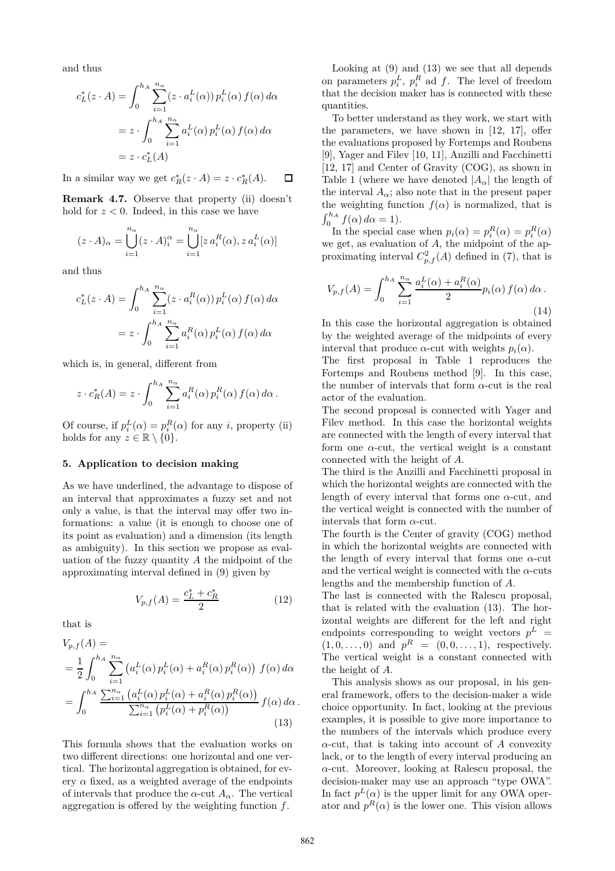and thus

$$
c_L^*(z \cdot A) = \int_0^{h_A} \sum_{i=1}^{n_\alpha} (z \cdot a_i^L(\alpha)) p_i^L(\alpha) f(\alpha) d\alpha
$$
  
=  $z \cdot \int_0^{h_A} \sum_{i=1}^{n_\alpha} a_i^L(\alpha) p_i^L(\alpha) f(\alpha) d\alpha$   
=  $z \cdot c_L^*(A)$ 

In a similar way we get  $c_R^*(z \cdot A) = z \cdot c_R^*(A)$ .  $\Box$ 

**Remark 4.7.** Observe that property (ii) doesn't hold for  $z < 0$ . Indeed, in this case we have

$$
(z \cdot A)_{\alpha} = \bigcup_{i=1}^{n_{\alpha}} (z \cdot A)_{i}^{\alpha} = \bigcup_{i=1}^{n_{\alpha}} [z a_{i}^{R}(\alpha), z a_{i}^{L}(\alpha)]
$$

and thus

$$
c_L^*(z \cdot A) = \int_0^{h_A} \sum_{i=1}^{n_\alpha} (z \cdot a_i^R(\alpha)) p_i^L(\alpha) f(\alpha) d\alpha
$$

$$
= z \cdot \int_0^{h_A} \sum_{i=1}^{n_\alpha} a_i^R(\alpha) p_i^L(\alpha) f(\alpha) d\alpha
$$

which is, in general, different from

$$
z \cdot c_R^*(A) = z \cdot \int_0^{h_A} \sum_{i=1}^{n_{\alpha}} a_i^R(\alpha) p_i^R(\alpha) f(\alpha) d\alpha.
$$

Of course, if  $p_i^L(\alpha) = p_i^R(\alpha)$  for any *i*, property (ii) holds for any  $z \in \mathbb{R} \setminus \{0\}.$ 

#### **5. Application to decision making**

As we have underlined, the advantage to dispose of an interval that approximates a fuzzy set and not only a value, is that the interval may offer two informations: a value (it is enough to choose one of its point as evaluation) and a dimension (its length as ambiguity). In this section we propose as evaluation of the fuzzy quantity *A* the midpoint of the approximating interval defined in (9) given by

$$
V_{p,f}(A) = \frac{c_L^* + c_R^*}{2} \tag{12}
$$

that is

$$
V_{p,f}(A) =
$$
  
=  $\frac{1}{2} \int_0^{h_A} \sum_{i=1}^{n_\alpha} \left( a_i^L(\alpha) p_i^L(\alpha) + a_i^R(\alpha) p_i^R(\alpha) \right) f(\alpha) d\alpha$   
=  $\int_0^{h_A} \frac{\sum_{i=1}^{n_\alpha} \left( a_i^L(\alpha) p_i^L(\alpha) + a_i^R(\alpha) p_i^R(\alpha) \right)}{\sum_{i=1}^{n_\alpha} \left( p_i^L(\alpha) + p_i^R(\alpha) \right)}$   $f(\alpha) d\alpha$ . (13)

This formula shows that the evaluation works on two different directions: one horizontal and one vertical. The horizontal aggregation is obtained, for every  $\alpha$  fixed, as a weighted average of the endpoints of intervals that produce the  $\alpha$ -cut  $A_{\alpha}$ . The vertical aggregation is offered by the weighting function *f*.

Looking at (9) and (13) we see that all depends on parameters  $p_i^L$ ,  $p_i^R$  ad  $f$ . The level of freedom that the decision maker has is connected with these quantities.

To better understand as they work, we start with the parameters, we have shown in [12, 17], offer the evaluations proposed by Fortemps and Roubens [9], Yager and Filev [10, 11], Anzilli and Facchinetti [12, 17] and Center of Gravity (COG), as shown in Table 1 (where we have denoted  $|A_\alpha|$  the length of the interval  $A_{\alpha}$ ; also note that in the present paper the weighting function  $f(\alpha)$  is normalized, that is  $\int_0^{h_A} f(\alpha) d\alpha = 1$ .

In the special case when  $p_i(\alpha) = p_i^R(\alpha) = p_i^R(\alpha)$ we get, as evaluation of *A*, the midpoint of the approximating interval  $C_{p,f}^2(A)$  defined in (7), that is

$$
V_{p,f}(A) = \int_0^{h_A} \sum_{i=1}^{n_\alpha} \frac{a_i^L(\alpha) + a_i^R(\alpha)}{2} p_i(\alpha) f(\alpha) d\alpha.
$$
\n(14)

In this case the horizontal aggregation is obtained by the weighted average of the midpoints of every interval that produce  $\alpha$ -cut with weights  $p_i(\alpha)$ .

The first proposal in Table 1 reproduces the Fortemps and Roubens method [9]. In this case, the number of intervals that form *α*-cut is the real actor of the evaluation.

The second proposal is connected with Yager and Filev method. In this case the horizontal weights are connected with the length of every interval that form one *α*-cut, the vertical weight is a constant connected with the height of *A*.

The third is the Anzilli and Facchinetti proposal in which the horizontal weights are connected with the length of every interval that forms one *α*-cut, and the vertical weight is connected with the number of intervals that form *α*-cut.

The fourth is the Center of gravity (COG) method in which the horizontal weights are connected with the length of every interval that forms one *α*-cut and the vertical weight is connected with the  $\alpha$ -cuts lengths and the membership function of *A*.

The last is connected with the Ralescu proposal, that is related with the evaluation (13). The horizontal weights are different for the left and right endpoints corresponding to weight vectors  $p^L$  =  $(1, 0, \ldots, 0)$  and  $p^R = (0, 0, \ldots, 1)$ , respectively. The vertical weight is a constant connected with the height of *A*.

This analysis shows as our proposal, in his general framework, offers to the decision-maker a wide choice opportunity. In fact, looking at the previous examples, it is possible to give more importance to the numbers of the intervals which produce every  $\alpha$ -cut, that is taking into account of *A* convexity lack, or to the length of every interval producing an *α*-cut. Moreover, looking at Ralescu proposal, the decision-maker may use an approach "type OWA". In fact  $p<sup>L</sup>(\alpha)$  is the upper limit for any OWA operator and  $p<sup>R</sup>(\alpha)$  is the lower one. This vision allows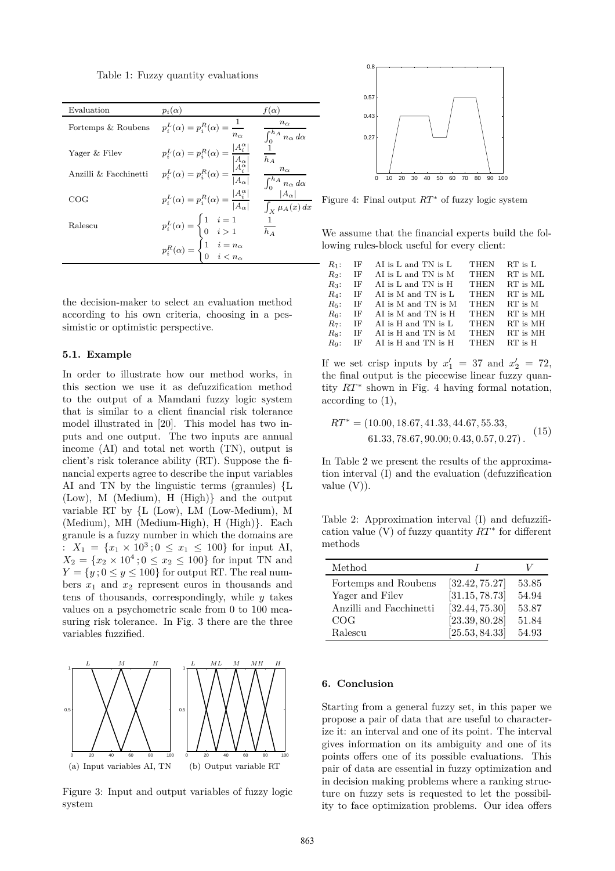Table 1: Fuzzy quantity evaluations

| Evaluation<br>$p_i(\alpha)$<br>$f(\alpha)$<br>$n_{\alpha}$<br>$p_i^L(\alpha) = p_i^R(\alpha) = \frac{1}{a}$<br>Fortemps & Roubens<br>$\int_0^{h_A} n_{\alpha} \, d\alpha$<br>$\begin{split} p_i^L(\alpha) &= p_i^R(\alpha) = \frac{ A_i^{\alpha} }{\left  \begin{matrix} A_{\alpha} \\ A_{i}^{\alpha} \end{matrix} \right } \\ p_i^L(\alpha) &= p_i^R(\alpha) = \frac{ A_{\alpha}^{\alpha} }{\left  A_{\alpha} \right } \end{split}$<br>Yager & Filev<br>$\overline{h_A}$<br>$n_{\alpha}$<br>Anzilli & Facchinetti<br>$\int_0^{h_A} \frac{n_{\alpha}}{ A_{\alpha} } d\alpha$<br>$p_i^L(\alpha) = p_i^R(\alpha) = \frac{ A_i^{\alpha} }{ A_{\alpha} }$<br>COG<br>$\int_X \mu_A(x) dx$<br>$\begin{aligned} p_i^L(\alpha) &= \begin{cases} 1 & i=1 \\ 0 & i>1 \end{cases} \\ p_i^R(\alpha) &= \begin{cases} 1 & i=n_\alpha \\ 0 & iRalescuh_A$ |  |  |
|---------------------------------------------------------------------------------------------------------------------------------------------------------------------------------------------------------------------------------------------------------------------------------------------------------------------------------------------------------------------------------------------------------------------------------------------------------------------------------------------------------------------------------------------------------------------------------------------------------------------------------------------------------------------------------------------------------------------------------------------------------------------------------------------------------------------------------------------|--|--|
|                                                                                                                                                                                                                                                                                                                                                                                                                                                                                                                                                                                                                                                                                                                                                                                                                                             |  |  |
|                                                                                                                                                                                                                                                                                                                                                                                                                                                                                                                                                                                                                                                                                                                                                                                                                                             |  |  |
|                                                                                                                                                                                                                                                                                                                                                                                                                                                                                                                                                                                                                                                                                                                                                                                                                                             |  |  |
|                                                                                                                                                                                                                                                                                                                                                                                                                                                                                                                                                                                                                                                                                                                                                                                                                                             |  |  |
|                                                                                                                                                                                                                                                                                                                                                                                                                                                                                                                                                                                                                                                                                                                                                                                                                                             |  |  |
|                                                                                                                                                                                                                                                                                                                                                                                                                                                                                                                                                                                                                                                                                                                                                                                                                                             |  |  |
|                                                                                                                                                                                                                                                                                                                                                                                                                                                                                                                                                                                                                                                                                                                                                                                                                                             |  |  |

the decision-maker to select an evaluation method according to his own criteria, choosing in a pessimistic or optimistic perspective.

### **5.1. Example**

In order to illustrate how our method works, in this section we use it as defuzzification method to the output of a Mamdani fuzzy logic system that is similar to a client financial risk tolerance model illustrated in [20]. This model has two inputs and one output. The two inputs are annual income (AI) and total net worth (TN), output is client's risk tolerance ability (RT). Suppose the financial experts agree to describe the input variables AI and TN by the linguistic terms (granules) {L (Low), M (Medium), H (High)} and the output variable RT by {L (Low), LM (Low-Medium), M (Medium), MH (Medium-High), H (High)}. Each granule is a fuzzy number in which the domains are :  $X_1 = \{x_1 \times 10^3; 0 \le x_1 \le 100\}$  for input AI,  $X_2 = \{x_2 \times 10^4 \, ; 0 \le x_2 \le 100\}$  for input TN and  $Y = \{y : 0 \le y \le 100\}$  for output RT. The real numbers  $x_1$  and  $x_2$  represent euros in thousands and tens of thousands, correspondingly, while *y* takes values on a psychometric scale from 0 to 100 measuring risk tolerance. In Fig. 3 there are the three variables fuzzified.



Figure 3: Input and output variables of fuzzy logic system



Figure 4: Final output *RT* ∗ of fuzzy logic system

We assume that the financial experts build the following rules-block useful for every client:

| $R_1$ : | ΙF  | AI is L and TN is L | <b>THEN</b> | $RT$ is $L$ |
|---------|-----|---------------------|-------------|-------------|
| R2:     | IF  | AI is L and TN is M | <b>THEN</b> | RT is ML    |
| $R_3$ : | IF  | AI is L and TN is H | <b>THEN</b> | RT is ML    |
| $R_4$ : | IF  | AI is M and TN is L | <b>THEN</b> | RT is ML    |
| $R_5$ : | ΙF  | AI is M and TN is M | <b>THEN</b> | RT is M     |
| $R_6$ : | IF  | AI is M and TN is H | <b>THEN</b> | RT is MH    |
| $R_7$ : | ΙF  | AI is H and TN is L | <b>THEN</b> | RT is MH    |
| Rs:     | IF  | AI is H and TN is M | <b>THEN</b> | RT is MH    |
| $Ra$ :  | IF. | AI is H and TN is H | <b>THEN</b> | $RT$ is $H$ |
|         |     |                     |             |             |

If we set crisp inputs by  $x'_1 = 37$  and  $x'_2 = 72$ , the final output is the piecewise linear fuzzy quantity *RT* <sup>∗</sup> shown in Fig. 4 having formal notation, according to (1),

$$
RT^* = (10.00, 18.67, 41.33, 44.67, 55.33, 61.33, 78.67, 90.00; 0.43, 0.57, 0.27).
$$
 (15)

In Table 2 we present the results of the approximation interval (I) and the evaluation (defuzzification value  $(V)$ ).

Table 2: Approximation interval (I) and defuzzification value  $(V)$  of fuzzy quantity  $RT^*$  for different methods

| Method                  |                |       |
|-------------------------|----------------|-------|
| Fortemps and Roubens    | [32.42, 75.27] | 53.85 |
| Yager and Filev         | [31.15, 78.73] | 54.94 |
| Anzilli and Facchinetti | [32.44, 75.30] | 53.87 |
| COG                     | [23.39, 80.28] | 51.84 |
| Ralescu                 | [25.53, 84.33] | 54.93 |

### **6. Conclusion**

Starting from a general fuzzy set, in this paper we propose a pair of data that are useful to characterize it: an interval and one of its point. The interval gives information on its ambiguity and one of its points offers one of its possible evaluations. This pair of data are essential in fuzzy optimization and in decision making problems where a ranking structure on fuzzy sets is requested to let the possibility to face optimization problems. Our idea offers